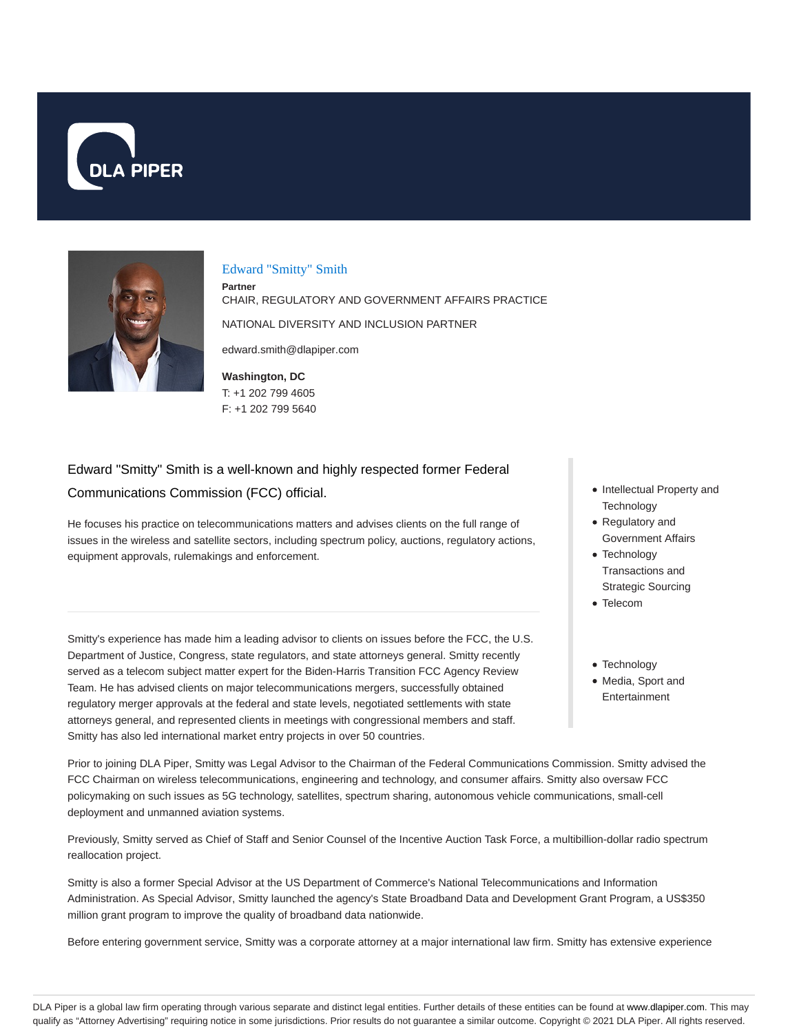



#### Edward "Smitty" Smith

**Partner** CHAIR, REGULATORY AND GOVERNMENT AFFAIRS PRACTICE NATIONAL DIVERSITY AND INCLUSION PARTNER edward.smith@dlapiper.com

**Washington, DC** T: +1 202 799 4605 F: +1 202 799 5640

# Edward "Smitty" Smith is a well-known and highly respected former Federal Communications Commission (FCC) official.

He focuses his practice on telecommunications matters and advises clients on the full range of issues in the wireless and satellite sectors, including spectrum policy, auctions, regulatory actions, equipment approvals, rulemakings and enforcement.

Smitty's experience has made him a leading advisor to clients on issues before the FCC, the U.S. Department of Justice, Congress, state regulators, and state attorneys general. Smitty recently served as a telecom subject matter expert for the Biden-Harris Transition FCC Agency Review Team. He has advised clients on major telecommunications mergers, successfully obtained regulatory merger approvals at the federal and state levels, negotiated settlements with state attorneys general, and represented clients in meetings with congressional members and staff. Smitty has also led international market entry projects in over 50 countries.

• Intellectual Property and **Technology** 

- Regulatory and Government Affairs
- Technology Transactions and Strategic Sourcing
- Telecom
- Technology
- Media, Sport and Entertainment

Prior to joining DLA Piper, Smitty was Legal Advisor to the Chairman of the Federal Communications Commission. Smitty advised the FCC Chairman on wireless telecommunications, engineering and technology, and consumer affairs. Smitty also oversaw FCC policymaking on such issues as 5G technology, satellites, spectrum sharing, autonomous vehicle communications, small-cell deployment and unmanned aviation systems.

Previously, Smitty served as Chief of Staff and Senior Counsel of the Incentive Auction Task Force, a multibillion-dollar radio spectrum reallocation project.

Smitty is also a former Special Advisor at the US Department of Commerce's National Telecommunications and Information Administration. As Special Advisor, Smitty launched the agency's State Broadband Data and Development Grant Program, a US\$350 million grant program to improve the quality of broadband data nationwide.

Before entering government service, Smitty was a corporate attorney at a major international law firm. Smitty has extensive experience